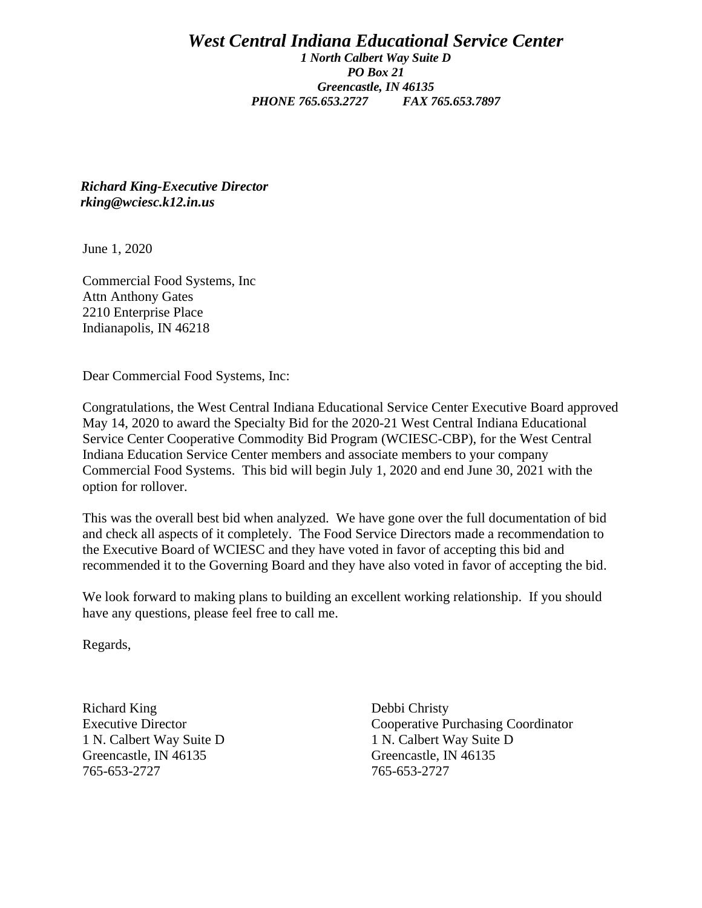## *West Central Indiana Educational Service Center 1 North Calbert Way Suite D PO Box 21 Greencastle, IN 46135 PHONE 765.653.2727 FAX 765.653.7897*

*Richard King-Executive Director rking@wciesc.k12.in.us*

June 1, 2020

Commercial Food Systems, Inc Attn Anthony Gates 2210 Enterprise Place Indianapolis, IN 46218

Dear Commercial Food Systems, Inc:

Congratulations, the West Central Indiana Educational Service Center Executive Board approved May 14, 2020 to award the Specialty Bid for the 2020-21 West Central Indiana Educational Service Center Cooperative Commodity Bid Program (WCIESC-CBP), for the West Central Indiana Education Service Center members and associate members to your company Commercial Food Systems. This bid will begin July 1, 2020 and end June 30, 2021 with the option for rollover.

This was the overall best bid when analyzed. We have gone over the full documentation of bid and check all aspects of it completely. The Food Service Directors made a recommendation to the Executive Board of WCIESC and they have voted in favor of accepting this bid and recommended it to the Governing Board and they have also voted in favor of accepting the bid.

We look forward to making plans to building an excellent working relationship. If you should have any questions, please feel free to call me.

Regards,

Richard King Debbi Christy Greencastle, IN 46135 Greencastle, IN 46135 765-653-2727 765-653-2727

Executive Director Cooperative Purchasing Coordinator 1 N. Calbert Way Suite D 1 N. Calbert Way Suite D